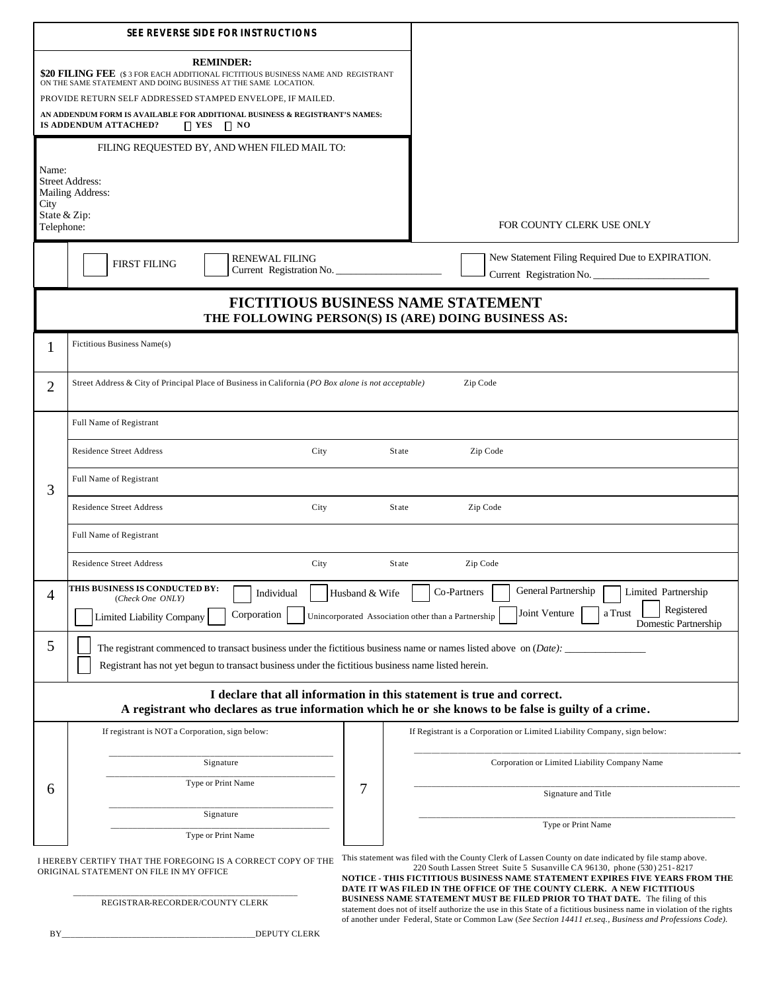| <b>SEE REVERSE SIDE FOR INSTRUCTIONS</b>                                                                                                                                       |                                                                                                                                                                                                                                                                                                                                                                         |                                                                                                                                                                                                                                                                                                                                                                |  |
|--------------------------------------------------------------------------------------------------------------------------------------------------------------------------------|-------------------------------------------------------------------------------------------------------------------------------------------------------------------------------------------------------------------------------------------------------------------------------------------------------------------------------------------------------------------------|----------------------------------------------------------------------------------------------------------------------------------------------------------------------------------------------------------------------------------------------------------------------------------------------------------------------------------------------------------------|--|
|                                                                                                                                                                                | <b>REMINDER:</b><br>\$20 FILING FEE (\$3 FOR EACH ADDITIONAL FICTITIOUS BUSINESS NAME AND REGISTRANT<br>ON THE SAME STATEMENT AND DOING BUSINESS AT THE SAME LOCATION.<br>PROVIDE RETURN SELF ADDRESSED STAMPED ENVELOPE, IF MAILED.<br>AN ADDENDUM FORM IS AVAILABLE FOR ADDITIONAL BUSINESS & REGISTRANT'S NAMES:<br>IS ADDENDUM ATTACHED?<br>$\Box$ YES<br>$\Box$ NO |                                                                                                                                                                                                                                                                                                                                                                |  |
|                                                                                                                                                                                |                                                                                                                                                                                                                                                                                                                                                                         |                                                                                                                                                                                                                                                                                                                                                                |  |
| Name:<br>City<br>Telephone:                                                                                                                                                    | FILING REQUESTED BY, AND WHEN FILED MAIL TO:<br><b>Street Address:</b><br>Mailing Address:<br>State & Zip:                                                                                                                                                                                                                                                              | FOR COUNTY CLERK USE ONLY                                                                                                                                                                                                                                                                                                                                      |  |
|                                                                                                                                                                                | <b>RENEWAL FILING</b><br><b>FIRST FILING</b><br>Current Registration No.                                                                                                                                                                                                                                                                                                | New Statement Filing Required Due to EXPIRATION.<br>Current Registration No.                                                                                                                                                                                                                                                                                   |  |
| <b>FICTITIOUS BUSINESS NAME STATEMENT</b><br>THE FOLLOWING PERSON(S) IS (ARE) DOING BUSINESS AS:                                                                               |                                                                                                                                                                                                                                                                                                                                                                         |                                                                                                                                                                                                                                                                                                                                                                |  |
| 1                                                                                                                                                                              | Fictitious Business Name(s)                                                                                                                                                                                                                                                                                                                                             |                                                                                                                                                                                                                                                                                                                                                                |  |
| $\overline{2}$                                                                                                                                                                 | Street Address & City of Principal Place of Business in California (PO Box alone is not acceptable)<br>Zip Code                                                                                                                                                                                                                                                         |                                                                                                                                                                                                                                                                                                                                                                |  |
| 3                                                                                                                                                                              | Full Name of Registrant                                                                                                                                                                                                                                                                                                                                                 |                                                                                                                                                                                                                                                                                                                                                                |  |
|                                                                                                                                                                                | <b>Residence Street Address</b><br>City                                                                                                                                                                                                                                                                                                                                 | Zip Code<br><b>State</b>                                                                                                                                                                                                                                                                                                                                       |  |
|                                                                                                                                                                                | Full Name of Registrant                                                                                                                                                                                                                                                                                                                                                 |                                                                                                                                                                                                                                                                                                                                                                |  |
|                                                                                                                                                                                | <b>Residence Street Address</b><br>City                                                                                                                                                                                                                                                                                                                                 | <b>State</b><br>Zip Code                                                                                                                                                                                                                                                                                                                                       |  |
|                                                                                                                                                                                | Full Name of Registrant                                                                                                                                                                                                                                                                                                                                                 |                                                                                                                                                                                                                                                                                                                                                                |  |
|                                                                                                                                                                                | <b>Residence Street Address</b><br>City                                                                                                                                                                                                                                                                                                                                 | Zip Code<br><b>State</b>                                                                                                                                                                                                                                                                                                                                       |  |
| 4                                                                                                                                                                              | THIS BUSINESS IS CONDUCTED BY:<br>Individual<br>(Check One ONLY)<br>Corporation<br><b>Limited Liability Company</b>                                                                                                                                                                                                                                                     | General Partnership<br>Co-Partners<br>Limited Partnership<br>Husband & Wife<br>Registered<br>Joint Venture<br>a Trust<br>Unincorporated Association other than a Partnership<br>Domestic Partnership                                                                                                                                                           |  |
| 5                                                                                                                                                                              | The registrant commenced to transact business under the fictitious business name or names listed above on $(Date):$<br>Registrant has not yet begun to transact business under the fictitious business name listed herein.                                                                                                                                              |                                                                                                                                                                                                                                                                                                                                                                |  |
| I declare that all information in this statement is true and correct.<br>A registrant who declares as true information which he or she knows to be false is guilty of a crime. |                                                                                                                                                                                                                                                                                                                                                                         |                                                                                                                                                                                                                                                                                                                                                                |  |
|                                                                                                                                                                                | If registrant is NOT a Corporation, sign below:                                                                                                                                                                                                                                                                                                                         | If Registrant is a Corporation or Limited Liability Company, sign below:                                                                                                                                                                                                                                                                                       |  |
| 6                                                                                                                                                                              | Signature                                                                                                                                                                                                                                                                                                                                                               | Corporation or Limited Liability Company Name                                                                                                                                                                                                                                                                                                                  |  |
|                                                                                                                                                                                | Type or Print Name                                                                                                                                                                                                                                                                                                                                                      | 7<br>Signature and Title                                                                                                                                                                                                                                                                                                                                       |  |
|                                                                                                                                                                                | Signature                                                                                                                                                                                                                                                                                                                                                               | Type or Print Name                                                                                                                                                                                                                                                                                                                                             |  |
| Type or Print Name<br>I HEREBY CERTIFY THAT THE FOREGOING IS A CORRECT COPY OF THE<br>ORIGINAL STATEMENT ON FILE IN MY OFFICE                                                  |                                                                                                                                                                                                                                                                                                                                                                         | This statement was filed with the County Clerk of Lassen County on date indicated by file stamp above.<br>220 South Lassen Street Suite 5 Susanville CA 96130, phone (530) 251-8217                                                                                                                                                                            |  |
|                                                                                                                                                                                | REGISTRAR-RECORDER/COUNTY CLERK                                                                                                                                                                                                                                                                                                                                         | NOTICE - THIS FICTITIOUS BUSINESS NAME STATEMENT EXPIRES FIVE YEARS FROM THE<br>DATE IT WAS FILED IN THE OFFICE OF THE COUNTY CLERK. A NEW FICTITIOUS<br>BUSINESS NAME STATEMENT MUST BE FILED PRIOR TO THAT DATE. The filing of this<br>statement does not of itself authorize the use in this State of a fictitious business name in violation of the rights |  |
| ΒY                                                                                                                                                                             | DEPUTY CLERK                                                                                                                                                                                                                                                                                                                                                            | of another under Federal, State or Common Law (See Section 14411 et.seq., Business and Professions Code).                                                                                                                                                                                                                                                      |  |
|                                                                                                                                                                                |                                                                                                                                                                                                                                                                                                                                                                         |                                                                                                                                                                                                                                                                                                                                                                |  |